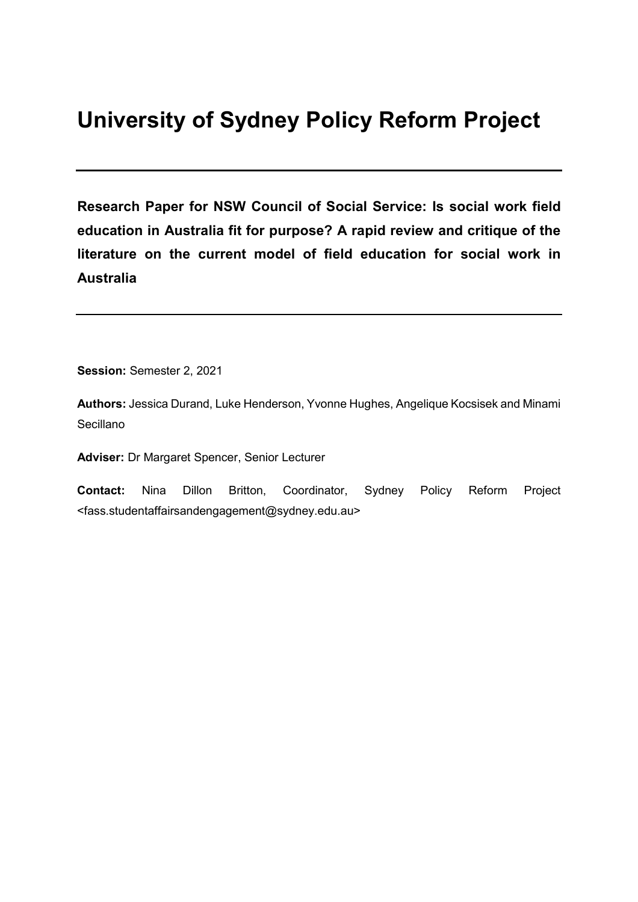# **University of Sydney Policy Reform Project**

**Research Paper for NSW Council of Social Service: Is social work field education in Australia fit for purpose? A rapid review and critique of the literature on the current model of field education for social work in Australia**

**Session:** Semester 2, 2021

**Authors:** Jessica Durand, Luke Henderson, Yvonne Hughes, Angelique Kocsisek and Minami Secillano

**Adviser:** Dr Margaret Spencer, Senior Lecturer

**Contact:** Nina Dillon Britton, Coordinator, Sydney Policy Reform Project <fass.studentaffairsandengagement@sydney.edu.au>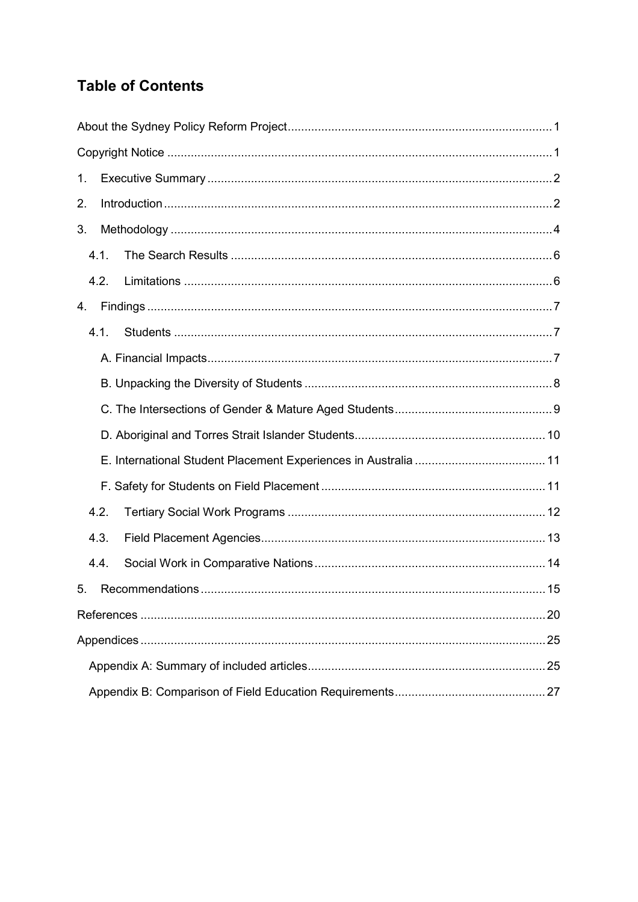## **Table of Contents**

| 1. |      |  |    |  |  |
|----|------|--|----|--|--|
| 2. |      |  |    |  |  |
| 3. |      |  |    |  |  |
|    | 4.1. |  |    |  |  |
|    | 4.2. |  |    |  |  |
| 4. |      |  |    |  |  |
|    | 4.1. |  |    |  |  |
|    |      |  |    |  |  |
|    |      |  |    |  |  |
|    |      |  |    |  |  |
|    |      |  |    |  |  |
|    |      |  |    |  |  |
|    |      |  |    |  |  |
|    | 4.2. |  |    |  |  |
|    | 4.3. |  |    |  |  |
|    | 4.4. |  |    |  |  |
| 5. |      |  |    |  |  |
|    |      |  | 20 |  |  |
|    |      |  |    |  |  |
|    |      |  |    |  |  |
|    |      |  |    |  |  |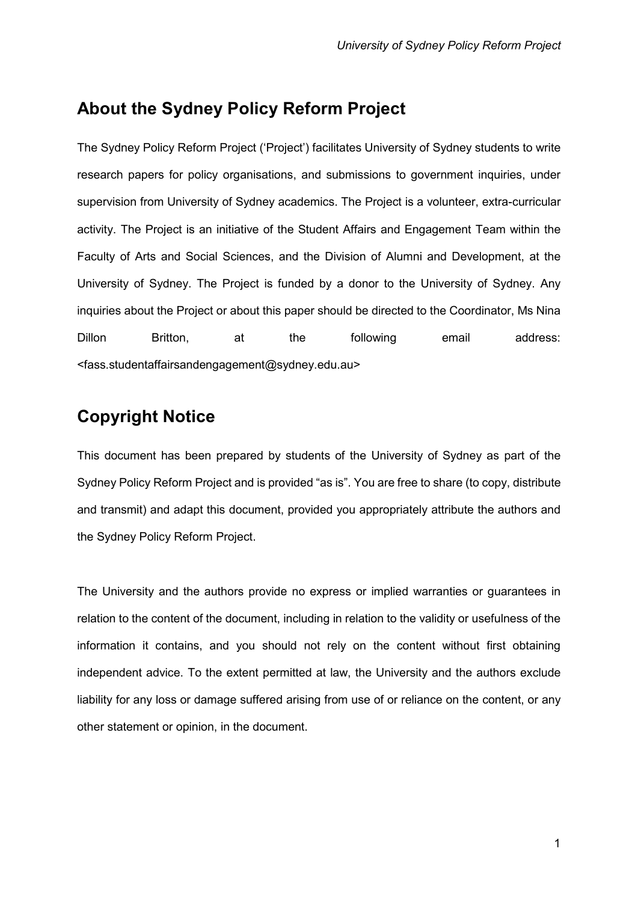### <span id="page-2-0"></span>**About the Sydney Policy Reform Project**

The Sydney Policy Reform Project ('Project') facilitates University of Sydney students to write research papers for policy organisations, and submissions to government inquiries, under supervision from University of Sydney academics. The Project is a volunteer, extra-curricular activity. The Project is an initiative of the Student Affairs and Engagement Team within the Faculty of Arts and Social Sciences, and the Division of Alumni and Development, at the University of Sydney. The Project is funded by a donor to the University of Sydney. Any inquiries about the Project or about this paper should be directed to the Coordinator, Ms Nina Dillon Britton, at the following email address: <fass.studentaffairsandengagement@sydney.edu.au>

## <span id="page-2-1"></span>**Copyright Notice**

This document has been prepared by students of the University of Sydney as part of the Sydney Policy Reform Project and is provided "as is". You are free to share (to copy, distribute and transmit) and adapt this document, provided you appropriately attribute the authors and the Sydney Policy Reform Project.

The University and the authors provide no express or implied warranties or guarantees in relation to the content of the document, including in relation to the validity or usefulness of the information it contains, and you should not rely on the content without first obtaining independent advice. To the extent permitted at law, the University and the authors exclude liability for any loss or damage suffered arising from use of or reliance on the content, or any other statement or opinion, in the document.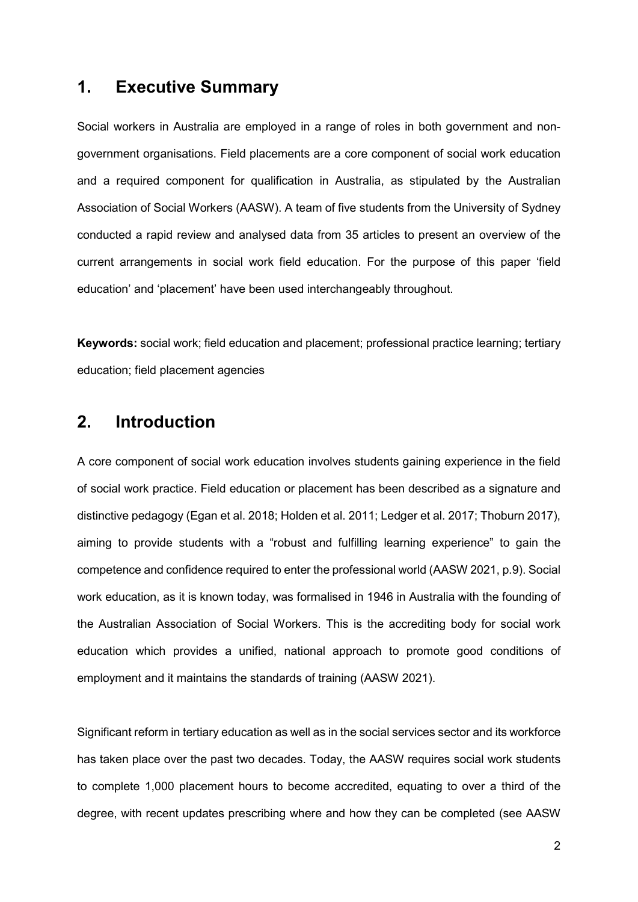### <span id="page-3-0"></span>**1. Executive Summary**

Social workers in Australia are employed in a range of roles in both government and nongovernment organisations. Field placements are a core component of social work education and a required component for qualification in Australia, as stipulated by the Australian Association of Social Workers (AASW). A team of five students from the University of Sydney conducted a rapid review and analysed data from 35 articles to present an overview of the current arrangements in social work field education. For the purpose of this paper 'field education' and 'placement' have been used interchangeably throughout.

**Keywords:** social work; field education and placement; professional practice learning; tertiary education; field placement agencies

### <span id="page-3-1"></span>**2. Introduction**

A core component of social work education involves students gaining experience in the field of social work practice. Field education or placement has been described as a signature and distinctive pedagogy (Egan et al. 2018; Holden et al. 2011; Ledger et al. 2017; Thoburn 2017), aiming to provide students with a "robust and fulfilling learning experience" to gain the competence and confidence required to enter the professional world (AASW 2021, p.9). Social work education, as it is known today, was formalised in 1946 in Australia with the founding of the Australian Association of Social Workers. This is the accrediting body for social work education which provides a unified, national approach to promote good conditions of employment and it maintains the standards of training (AASW 2021).

Significant reform in tertiary education as well as in the social services sector and its workforce has taken place over the past two decades. Today, the AASW requires social work students to complete 1,000 placement hours to become accredited, equating to over a third of the degree, with recent updates prescribing where and how they can be completed (see AASW

2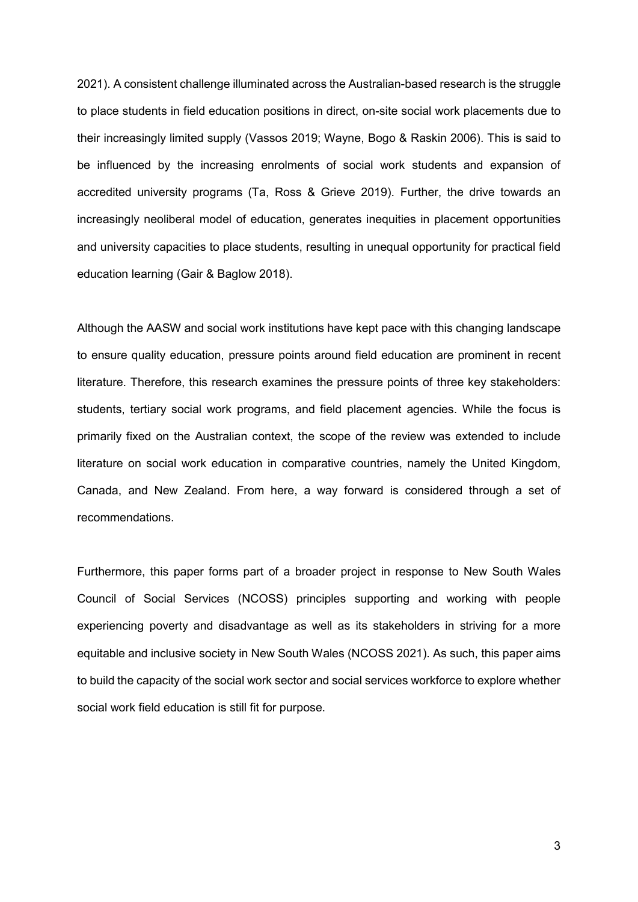2021). A consistent challenge illuminated across the Australian-based research is the struggle to place students in field education positions in direct, on-site social work placements due to their increasingly limited supply (Vassos 2019; Wayne, Bogo & Raskin 2006). This is said to be influenced by the increasing enrolments of social work students and expansion of accredited university programs (Ta, Ross & Grieve 2019). Further, the drive towards an increasingly neoliberal model of education, generates inequities in placement opportunities and university capacities to place students, resulting in unequal opportunity for practical field education learning (Gair & Baglow 2018).

Although the AASW and social work institutions have kept pace with this changing landscape to ensure quality education, pressure points around field education are prominent in recent literature. Therefore, this research examines the pressure points of three key stakeholders: students, tertiary social work programs, and field placement agencies. While the focus is primarily fixed on the Australian context, the scope of the review was extended to include literature on social work education in comparative countries, namely the United Kingdom, Canada, and New Zealand. From here, a way forward is considered through a set of recommendations.

Furthermore, this paper forms part of a broader project in response to New South Wales Council of Social Services (NCOSS) principles supporting and working with people experiencing poverty and disadvantage as well as its stakeholders in striving for a more equitable and inclusive society in New South Wales (NCOSS 2021). As such, this paper aims to build the capacity of the social work sector and social services workforce to explore whether social work field education is still fit for purpose.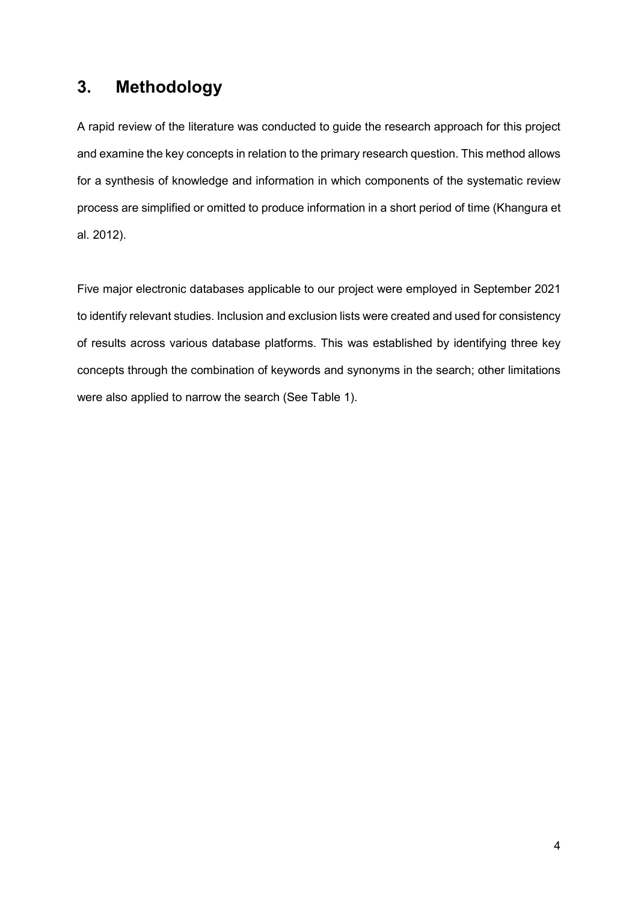### <span id="page-5-0"></span>**3. Methodology**

A rapid review of the literature was conducted to guide the research approach for this project and examine the key concepts in relation to the primary research question. This method allows for a synthesis of knowledge and information in which components of the systematic review process are simplified or omitted to produce information in a short period of time (Khangura et al. 2012).

Five major electronic databases applicable to our project were employed in September 2021 to identify relevant studies. Inclusion and exclusion lists were created and used for consistency of results across various database platforms. This was established by identifying three key concepts through the combination of keywords and synonyms in the search; other limitations were also applied to narrow the search (See Table 1).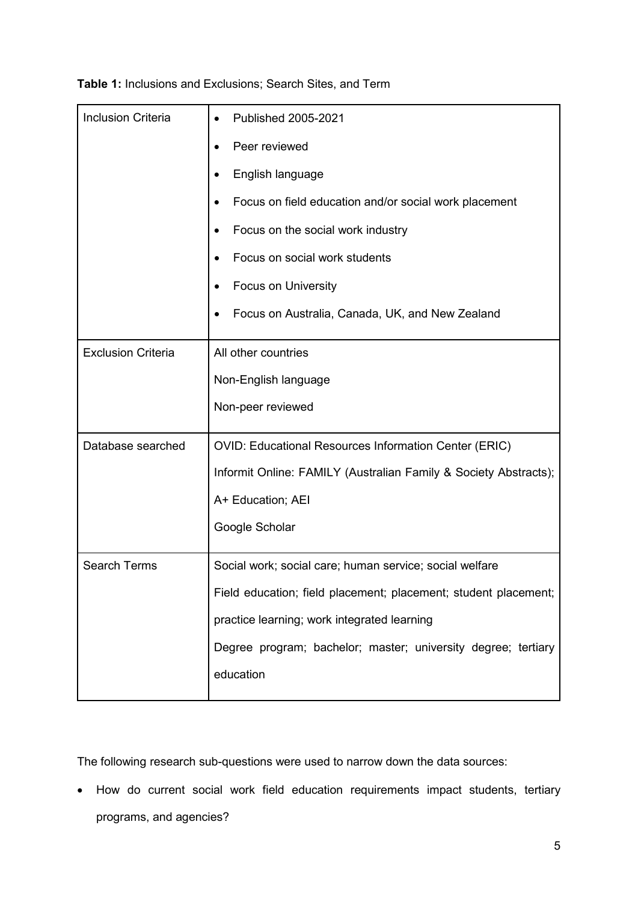| <b>Inclusion Criteria</b> | Published 2005-2021<br>$\bullet$                                   |  |  |  |
|---------------------------|--------------------------------------------------------------------|--|--|--|
|                           | Peer reviewed<br>$\bullet$                                         |  |  |  |
|                           | English language                                                   |  |  |  |
|                           | Focus on field education and/or social work placement<br>$\bullet$ |  |  |  |
|                           | Focus on the social work industry                                  |  |  |  |
|                           | Focus on social work students                                      |  |  |  |
|                           | Focus on University<br>$\bullet$                                   |  |  |  |
|                           | Focus on Australia, Canada, UK, and New Zealand<br>$\bullet$       |  |  |  |
| <b>Exclusion Criteria</b> | All other countries                                                |  |  |  |
|                           | Non-English language                                               |  |  |  |
|                           | Non-peer reviewed                                                  |  |  |  |
| Database searched         | <b>OVID: Educational Resources Information Center (ERIC)</b>       |  |  |  |
|                           | Informit Online: FAMILY (Australian Family & Society Abstracts);   |  |  |  |
|                           | A+ Education; AEI                                                  |  |  |  |
|                           | Google Scholar                                                     |  |  |  |
| <b>Search Terms</b>       | Social work; social care; human service; social welfare            |  |  |  |
|                           | Field education; field placement; placement; student placement;    |  |  |  |
|                           | practice learning; work integrated learning                        |  |  |  |
|                           | Degree program; bachelor; master; university degree; tertiary      |  |  |  |
|                           | education                                                          |  |  |  |
|                           |                                                                    |  |  |  |

**Table 1:** Inclusions and Exclusions; Search Sites, and Term

The following research sub-questions were used to narrow down the data sources:

• How do current social work field education requirements impact students, tertiary programs, and agencies?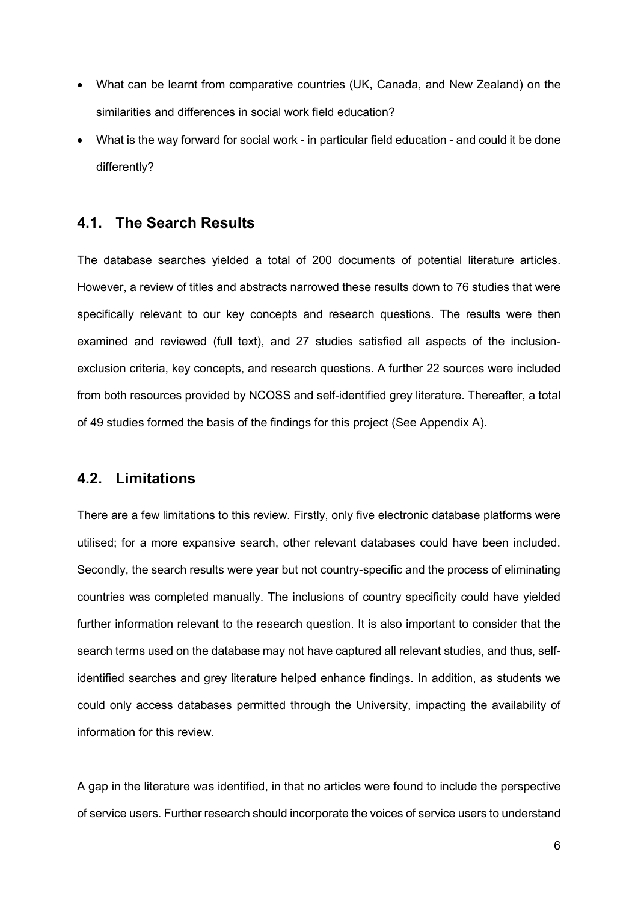- What can be learnt from comparative countries (UK, Canada, and New Zealand) on the similarities and differences in social work field education?
- What is the way forward for social work in particular field education and could it be done differently?

### <span id="page-7-0"></span>**4.1. The Search Results**

The database searches yielded a total of 200 documents of potential literature articles. However, a review of titles and abstracts narrowed these results down to 76 studies that were specifically relevant to our key concepts and research questions. The results were then examined and reviewed (full text), and 27 studies satisfied all aspects of the inclusionexclusion criteria, key concepts, and research questions. A further 22 sources were included from both resources provided by NCOSS and self-identified grey literature. Thereafter, a total of 49 studies formed the basis of the findings for this project (See Appendix A).

### <span id="page-7-1"></span>**4.2. Limitations**

There are a few limitations to this review. Firstly, only five electronic database platforms were utilised; for a more expansive search, other relevant databases could have been included. Secondly, the search results were year but not country-specific and the process of eliminating countries was completed manually. The inclusions of country specificity could have yielded further information relevant to the research question. It is also important to consider that the search terms used on the database may not have captured all relevant studies, and thus, selfidentified searches and grey literature helped enhance findings. In addition, as students we could only access databases permitted through the University, impacting the availability of information for this review.

A gap in the literature was identified, in that no articles were found to include the perspective of service users. Further research should incorporate the voices of service users to understand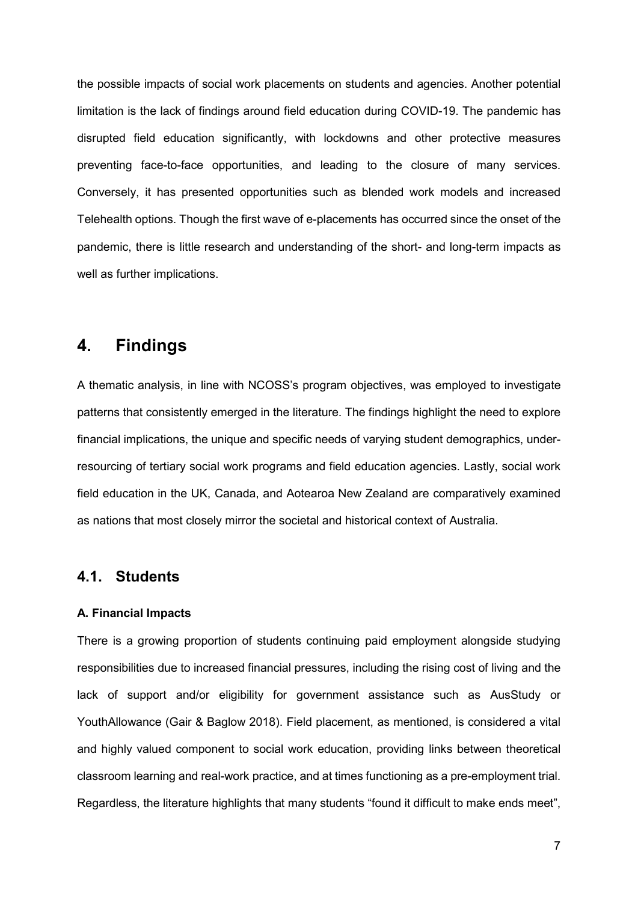the possible impacts of social work placements on students and agencies. Another potential limitation is the lack of findings around field education during COVID-19. The pandemic has disrupted field education significantly, with lockdowns and other protective measures preventing face-to-face opportunities, and leading to the closure of many services. Conversely, it has presented opportunities such as blended work models and increased Telehealth options. Though the first wave of e-placements has occurred since the onset of the pandemic, there is little research and understanding of the short- and long-term impacts as well as further implications.

### <span id="page-8-0"></span>**4. Findings**

A thematic analysis, in line with NCOSS's program objectives, was employed to investigate patterns that consistently emerged in the literature. The findings highlight the need to explore financial implications, the unique and specific needs of varying student demographics, underresourcing of tertiary social work programs and field education agencies. Lastly, social work field education in the UK, Canada, and Aotearoa New Zealand are comparatively examined as nations that most closely mirror the societal and historical context of Australia.

### <span id="page-8-1"></span>**4.1. Students**

#### <span id="page-8-2"></span>**A. Financial Impacts**

There is a growing proportion of students continuing paid employment alongside studying responsibilities due to increased financial pressures, including the rising cost of living and the lack of support and/or eligibility for government assistance such as AusStudy or YouthAllowance (Gair & Baglow 2018). Field placement, as mentioned, is considered a vital and highly valued component to social work education, providing links between theoretical classroom learning and real-work practice, and at times functioning as a pre-employment trial. Regardless, the literature highlights that many students "found it difficult to make ends meet",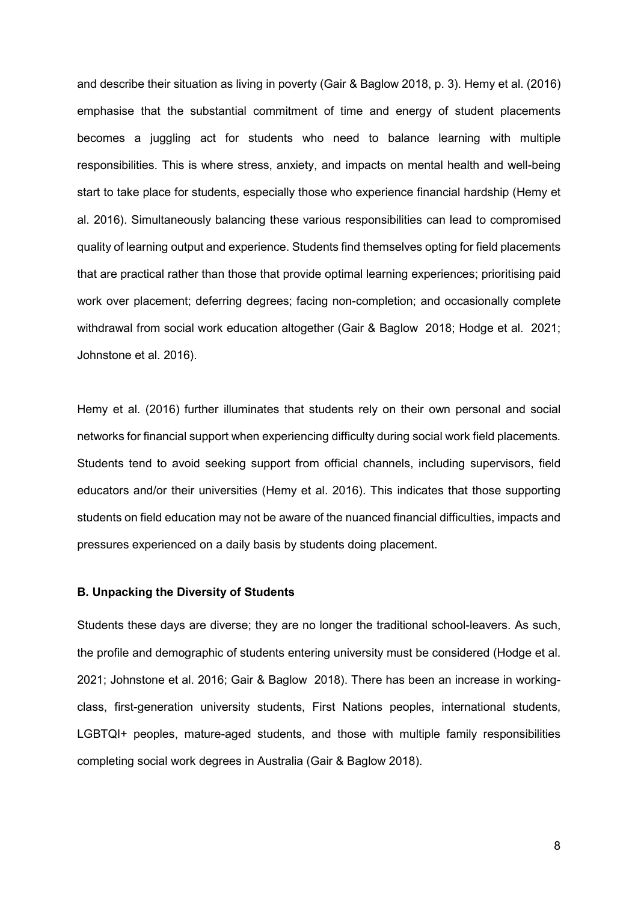and describe their situation as living in poverty (Gair & Baglow 2018, p. 3). Hemy et al. (2016) emphasise that the substantial commitment of time and energy of student placements becomes a juggling act for students who need to balance learning with multiple responsibilities. This is where stress, anxiety, and impacts on mental health and well-being start to take place for students, especially those who experience financial hardship (Hemy et al. 2016). Simultaneously balancing these various responsibilities can lead to compromised quality of learning output and experience. Students find themselves opting for field placements that are practical rather than those that provide optimal learning experiences; prioritising paid work over placement; deferring degrees; facing non-completion; and occasionally complete withdrawal from social work education altogether (Gair & Baglow 2018; Hodge et al. 2021; Johnstone et al. 2016).

Hemy et al. (2016) further illuminates that students rely on their own personal and social networks for financial support when experiencing difficulty during social work field placements. Students tend to avoid seeking support from official channels, including supervisors, field educators and/or their universities (Hemy et al. 2016). This indicates that those supporting students on field education may not be aware of the nuanced financial difficulties, impacts and pressures experienced on a daily basis by students doing placement.

#### <span id="page-9-0"></span>**B. Unpacking the Diversity of Students**

Students these days are diverse; they are no longer the traditional school-leavers. As such, the profile and demographic of students entering university must be considered (Hodge et al. 2021; Johnstone et al. 2016; Gair & Baglow 2018). There has been an increase in workingclass, first-generation university students, First Nations peoples, international students, LGBTQI+ peoples, mature-aged students, and those with multiple family responsibilities completing social work degrees in Australia (Gair & Baglow 2018).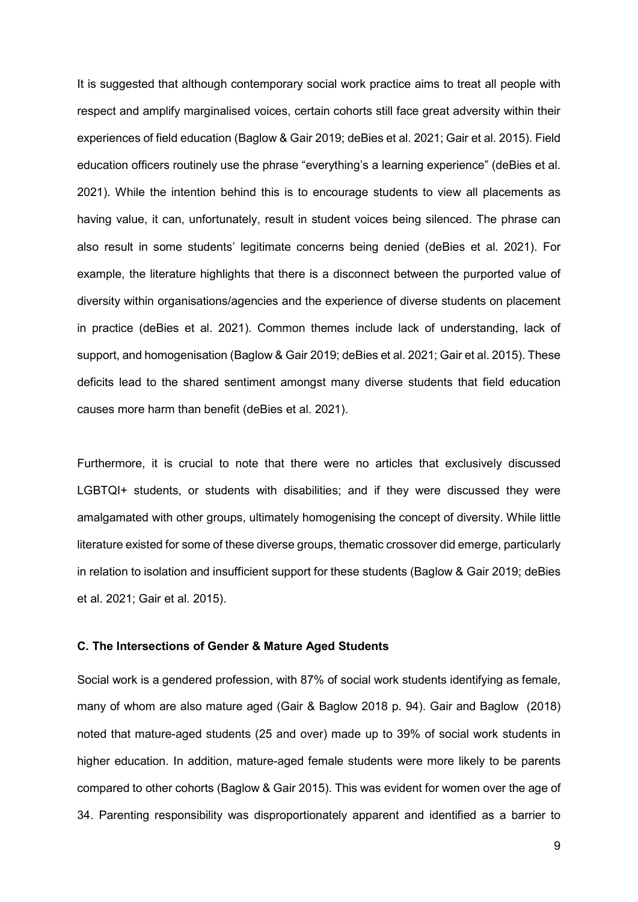It is suggested that although contemporary social work practice aims to treat all people with respect and amplify marginalised voices, certain cohorts still face great adversity within their experiences of field education (Baglow & Gair 2019; deBies et al. 2021; Gair et al. 2015). Field education officers routinely use the phrase "everything's a learning experience" (deBies et al. 2021). While the intention behind this is to encourage students to view all placements as having value, it can, unfortunately, result in student voices being silenced. The phrase can also result in some students' legitimate concerns being denied (deBies et al. 2021). For example, the literature highlights that there is a disconnect between the purported value of diversity within organisations/agencies and the experience of diverse students on placement in practice (deBies et al. 2021). Common themes include lack of understanding, lack of support, and homogenisation (Baglow & Gair 2019; deBies et al. 2021; Gair et al. 2015). These deficits lead to the shared sentiment amongst many diverse students that field education causes more harm than benefit (deBies et al. 2021).

Furthermore, it is crucial to note that there were no articles that exclusively discussed LGBTQI+ students, or students with disabilities; and if they were discussed they were amalgamated with other groups, ultimately homogenising the concept of diversity. While little literature existed for some of these diverse groups, thematic crossover did emerge, particularly in relation to isolation and insufficient support for these students (Baglow & Gair 2019; deBies et al. 2021; Gair et al. 2015).

#### <span id="page-10-0"></span>**C. The Intersections of Gender & Mature Aged Students**

Social work is a gendered profession, with 87% of social work students identifying as female, many of whom are also mature aged (Gair & Baglow 2018 p. 94). Gair and Baglow (2018) noted that mature-aged students (25 and over) made up to 39% of social work students in higher education. In addition, mature-aged female students were more likely to be parents compared to other cohorts (Baglow & Gair 2015). This was evident for women over the age of 34. Parenting responsibility was disproportionately apparent and identified as a barrier to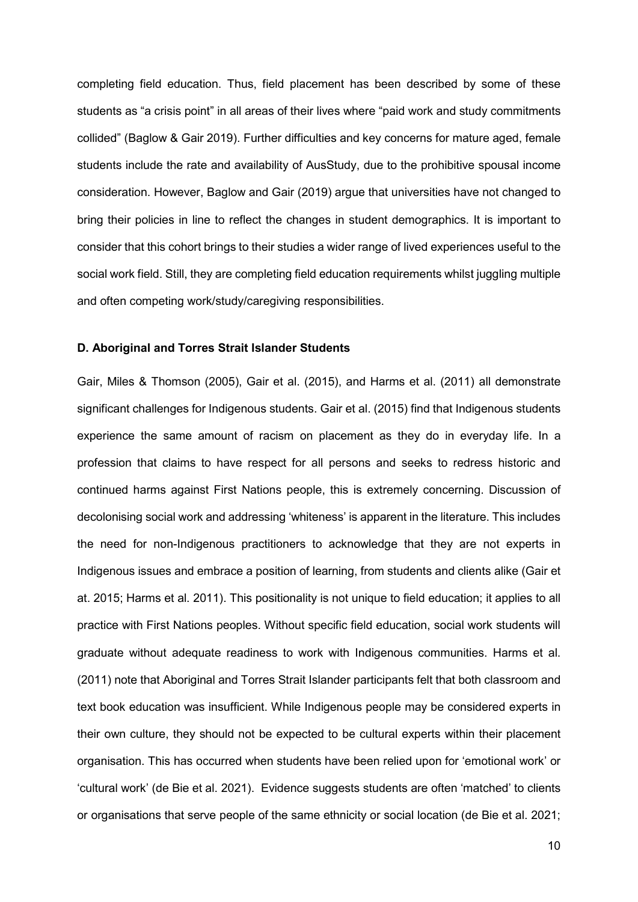completing field education. Thus, field placement has been described by some of these students as "a crisis point" in all areas of their lives where "paid work and study commitments collided" (Baglow & Gair 2019). Further difficulties and key concerns for mature aged, female students include the rate and availability of AusStudy, due to the prohibitive spousal income consideration. However, Baglow and Gair (2019) argue that universities have not changed to bring their policies in line to reflect the changes in student demographics. It is important to consider that this cohort brings to their studies a wider range of lived experiences useful to the social work field. Still, they are completing field education requirements whilst juggling multiple and often competing work/study/caregiving responsibilities.

#### <span id="page-11-0"></span>**D. Aboriginal and Torres Strait Islander Students**

Gair, Miles & Thomson (2005), Gair et al. (2015), and Harms et al. (2011) all demonstrate significant challenges for Indigenous students. Gair et al. (2015) find that Indigenous students experience the same amount of racism on placement as they do in everyday life. In a profession that claims to have respect for all persons and seeks to redress historic and continued harms against First Nations people, this is extremely concerning. Discussion of decolonising social work and addressing 'whiteness' is apparent in the literature. This includes the need for non-Indigenous practitioners to acknowledge that they are not experts in Indigenous issues and embrace a position of learning, from students and clients alike (Gair et at. 2015; Harms et al. 2011). This positionality is not unique to field education; it applies to all practice with First Nations peoples. Without specific field education, social work students will graduate without adequate readiness to work with Indigenous communities. Harms et al. (2011) note that Aboriginal and Torres Strait Islander participants felt that both classroom and text book education was insufficient. While Indigenous people may be considered experts in their own culture, they should not be expected to be cultural experts within their placement organisation. This has occurred when students have been relied upon for 'emotional work' or 'cultural work' (de Bie et al. 2021). Evidence suggests students are often 'matched' to clients or organisations that serve people of the same ethnicity or social location (de Bie et al. 2021;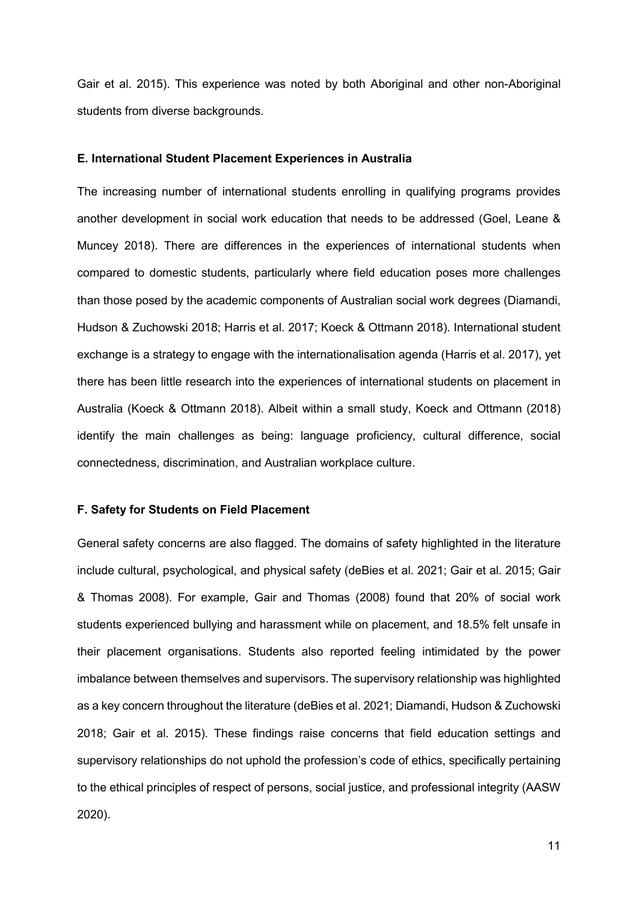Gair et al. 2015). This experience was noted by both Aboriginal and other non-Aboriginal students from diverse backgrounds.

#### <span id="page-12-0"></span>**E. International Student Placement Experiences in Australia**

The increasing number of international students enrolling in qualifying programs provides another development in social work education that needs to be addressed (Goel, Leane & Muncey 2018). There are differences in the experiences of international students when compared to domestic students, particularly where field education poses more challenges than those posed by the academic components of Australian social work degrees (Diamandi, Hudson & Zuchowski 2018; Harris et al. 2017; Koeck & Ottmann 2018). International student exchange is a strategy to engage with the internationalisation agenda (Harris et al. 2017), yet there has been little research into the experiences of international students on placement in Australia (Koeck & Ottmann 2018). Albeit within a small study, Koeck and Ottmann (2018) identify the main challenges as being: language proficiency, cultural difference, social connectedness, discrimination, and Australian workplace culture.

#### <span id="page-12-1"></span>**F. Safety for Students on Field Placement**

General safety concerns are also flagged. The domains of safety highlighted in the literature include cultural, psychological, and physical safety (deBies et al. 2021; Gair et al. 2015; Gair & Thomas 2008). For example, Gair and Thomas (2008) found that 20% of social work students experienced bullying and harassment while on placement, and 18.5% felt unsafe in their placement organisations. Students also reported feeling intimidated by the power imbalance between themselves and supervisors. The supervisory relationship was highlighted as a key concern throughout the literature (deBies et al. 2021; Diamandi, Hudson & Zuchowski 2018; Gair et al. 2015). These findings raise concerns that field education settings and supervisory relationships do not uphold the profession's code of ethics, specifically pertaining to the ethical principles of respect of persons, social justice, and professional integrity (AASW 2020).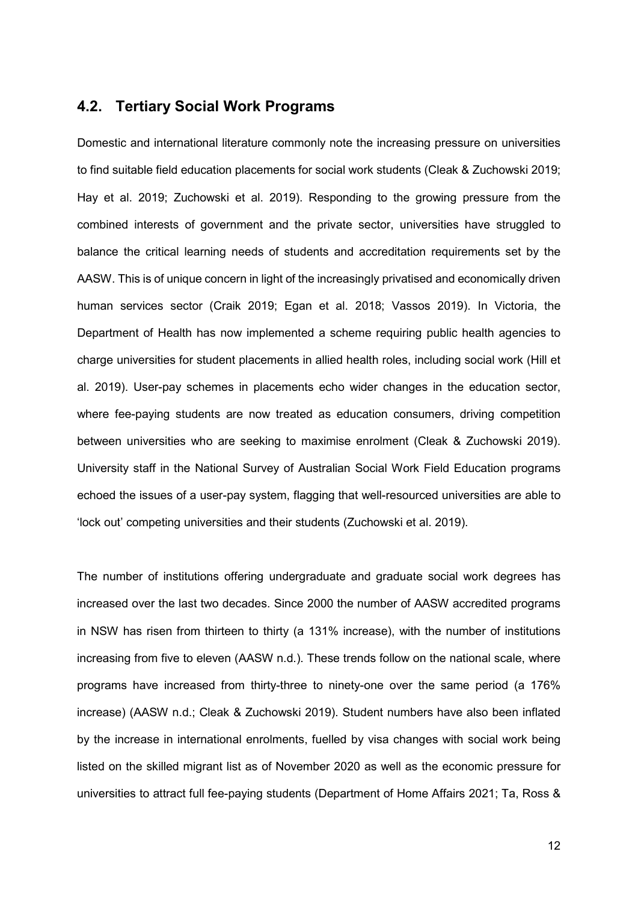### <span id="page-13-0"></span>**4.2. Tertiary Social Work Programs**

Domestic and international literature commonly note the increasing pressure on universities to find suitable field education placements for social work students (Cleak & Zuchowski 2019; Hay et al. 2019; Zuchowski et al. 2019). Responding to the growing pressure from the combined interests of government and the private sector, universities have struggled to balance the critical learning needs of students and accreditation requirements set by the AASW. This is of unique concern in light of the increasingly privatised and economically driven human services sector (Craik 2019; Egan et al. 2018; Vassos 2019). In Victoria, the Department of Health has now implemented a scheme requiring public health agencies to charge universities for student placements in allied health roles, including social work (Hill et al. 2019). User-pay schemes in placements echo wider changes in the education sector, where fee-paying students are now treated as education consumers, driving competition between universities who are seeking to maximise enrolment (Cleak & Zuchowski 2019). University staff in the National Survey of Australian Social Work Field Education programs echoed the issues of a user-pay system, flagging that well-resourced universities are able to 'lock out' competing universities and their students (Zuchowski et al. 2019).

The number of institutions offering undergraduate and graduate social work degrees has increased over the last two decades. Since 2000 the number of AASW accredited programs in NSW has risen from thirteen to thirty (a 131% increase), with the number of institutions increasing from five to eleven (AASW n.d.). These trends follow on the national scale, where programs have increased from thirty-three to ninety-one over the same period (a 176% increase) (AASW n.d.; Cleak & Zuchowski 2019). Student numbers have also been inflated by the increase in international enrolments, fuelled by visa changes with social work being listed on the skilled migrant list as of November 2020 as well as the economic pressure for universities to attract full fee-paying students (Department of Home Affairs 2021; Ta, Ross &

12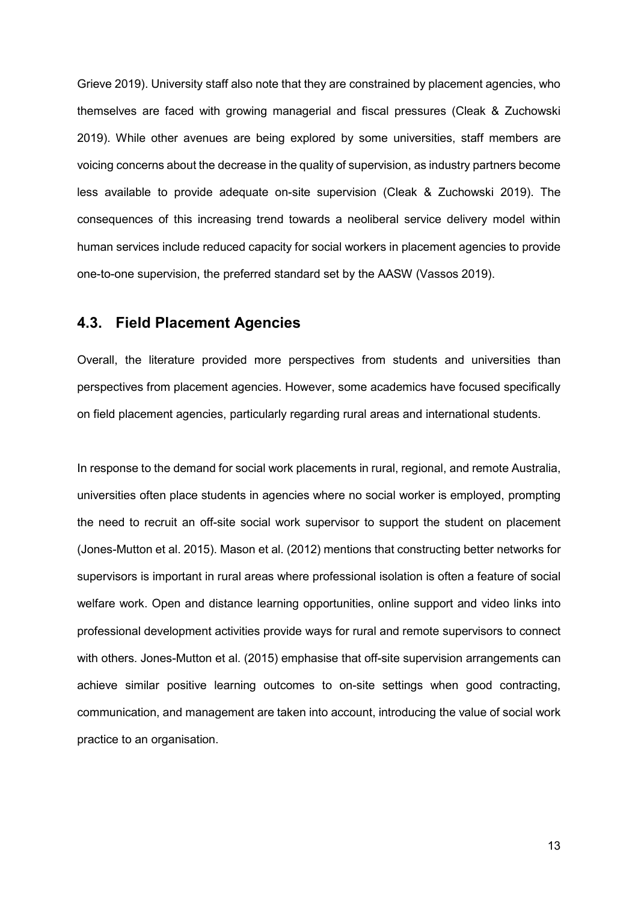Grieve 2019). University staff also note that they are constrained by placement agencies, who themselves are faced with growing managerial and fiscal pressures (Cleak & Zuchowski 2019). While other avenues are being explored by some universities, staff members are voicing concerns about the decrease in the quality of supervision, as industry partners become less available to provide adequate on-site supervision (Cleak & Zuchowski 2019). The consequences of this increasing trend towards a neoliberal service delivery model within human services include reduced capacity for social workers in placement agencies to provide one-to-one supervision, the preferred standard set by the AASW (Vassos 2019).

### <span id="page-14-0"></span>**4.3. Field Placement Agencies**

Overall, the literature provided more perspectives from students and universities than perspectives from placement agencies. However, some academics have focused specifically on field placement agencies, particularly regarding rural areas and international students.

In response to the demand for social work placements in rural, regional, and remote Australia, universities often place students in agencies where no social worker is employed, prompting the need to recruit an off-site social work supervisor to support the student on placement (Jones-Mutton et al. 2015). Mason et al. (2012) mentions that constructing better networks for supervisors is important in rural areas where professional isolation is often a feature of social welfare work. Open and distance learning opportunities, online support and video links into professional development activities provide ways for rural and remote supervisors to connect with others. Jones-Mutton et al. (2015) emphasise that off-site supervision arrangements can achieve similar positive learning outcomes to on-site settings when good contracting, communication, and management are taken into account, introducing the value of social work practice to an organisation.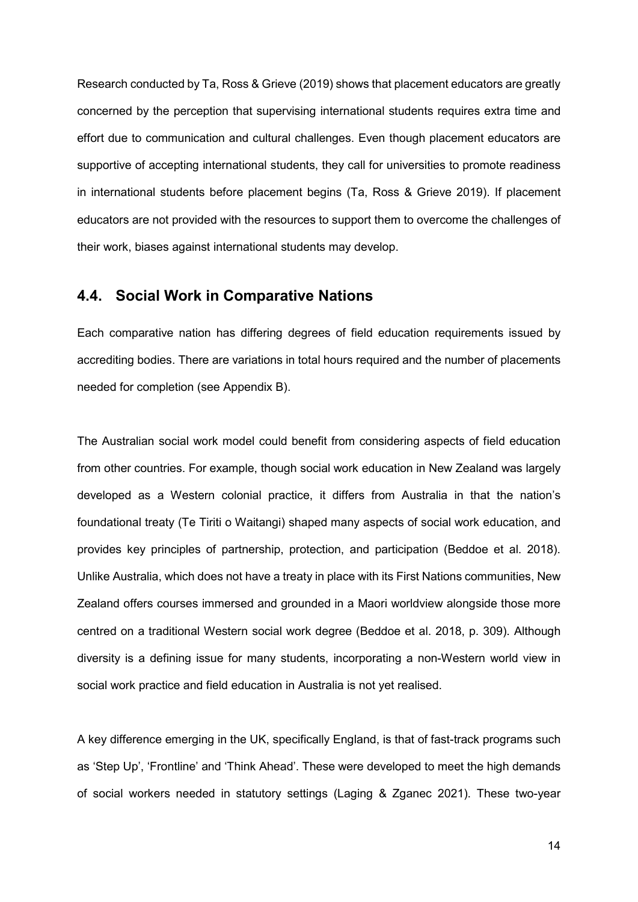Research conducted by Ta, Ross & Grieve (2019) shows that placement educators are greatly concerned by the perception that supervising international students requires extra time and effort due to communication and cultural challenges. Even though placement educators are supportive of accepting international students, they call for universities to promote readiness in international students before placement begins (Ta, Ross & Grieve 2019). If placement educators are not provided with the resources to support them to overcome the challenges of their work, biases against international students may develop.

### <span id="page-15-0"></span>**4.4. Social Work in Comparative Nations**

Each comparative nation has differing degrees of field education requirements issued by accrediting bodies. There are variations in total hours required and the number of placements needed for completion (see Appendix B).

The Australian social work model could benefit from considering aspects of field education from other countries. For example, though social work education in New Zealand was largely developed as a Western colonial practice, it differs from Australia in that the nation's foundational treaty (Te Tiriti o Waitangi) shaped many aspects of social work education, and provides key principles of partnership, protection, and participation (Beddoe et al. 2018). Unlike Australia, which does not have a treaty in place with its First Nations communities, New Zealand offers courses immersed and grounded in a Maori worldview alongside those more centred on a traditional Western social work degree (Beddoe et al. 2018, p. 309). Although diversity is a defining issue for many students, incorporating a non-Western world view in social work practice and field education in Australia is not yet realised.

A key difference emerging in the UK, specifically England, is that of fast-track programs such as 'Step Up', 'Frontline' and 'Think Ahead'. These were developed to meet the high demands of social workers needed in statutory settings (Laging & Zganec 2021). These two-year

14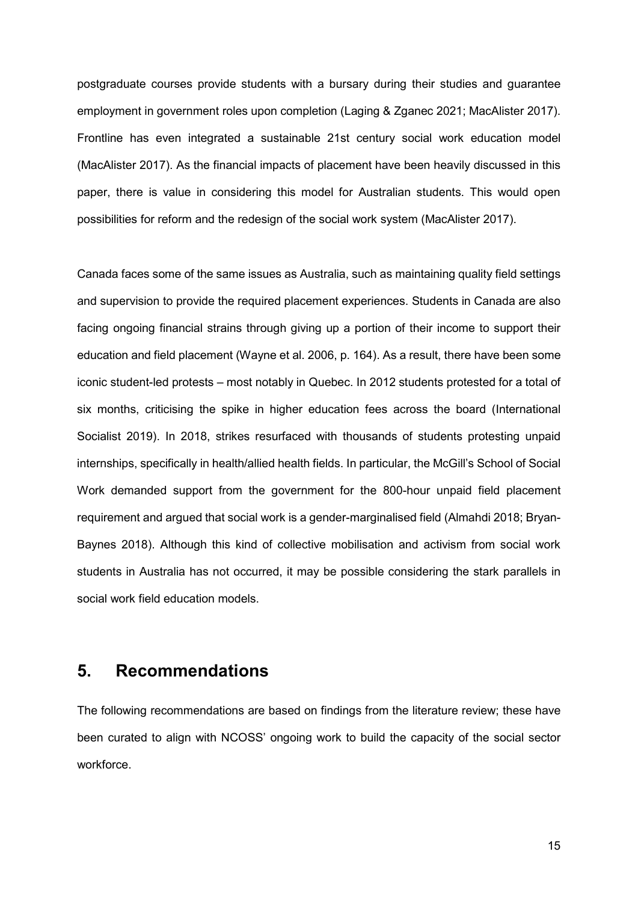postgraduate courses provide students with a bursary during their studies and guarantee employment in government roles upon completion (Laging & Zganec 2021; MacAlister 2017). Frontline has even integrated a sustainable 21st century social work education model (MacAlister 2017). As the financial impacts of placement have been heavily discussed in this paper, there is value in considering this model for Australian students. This would open possibilities for reform and the redesign of the social work system (MacAlister 2017).

Canada faces some of the same issues as Australia, such as maintaining quality field settings and supervision to provide the required placement experiences. Students in Canada are also facing ongoing financial strains through giving up a portion of their income to support their education and field placement (Wayne et al. 2006, p. 164). As a result, there have been some iconic student-led protests – most notably in Quebec. In 2012 students protested for a total of six months, criticising the spike in higher education fees across the board (International Socialist 2019). In 2018, strikes resurfaced with thousands of students protesting unpaid internships, specifically in health/allied health fields. In particular, the McGill's School of Social Work demanded support from the government for the 800-hour unpaid field placement requirement and argued that social work is a gender-marginalised field (Almahdi 2018; Bryan-Baynes 2018). Although this kind of collective mobilisation and activism from social work students in Australia has not occurred, it may be possible considering the stark parallels in social work field education models.

### <span id="page-16-0"></span>**5. Recommendations**

The following recommendations are based on findings from the literature review; these have been curated to align with NCOSS' ongoing work to build the capacity of the social sector workforce.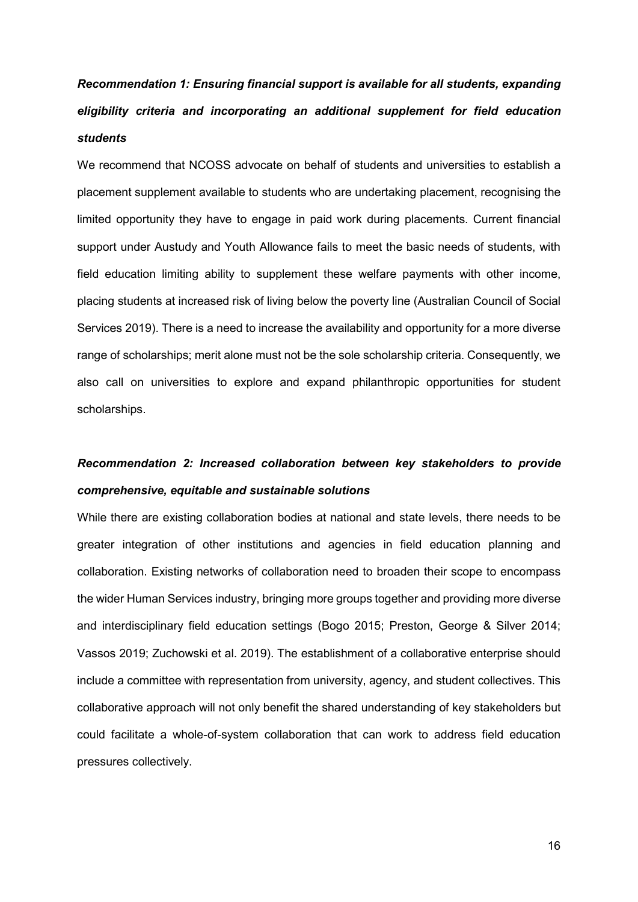*Recommendation 1: Ensuring financial support is available for all students, expanding eligibility criteria and incorporating an additional supplement for field education students*

We recommend that NCOSS advocate on behalf of students and universities to establish a placement supplement available to students who are undertaking placement, recognising the limited opportunity they have to engage in paid work during placements. Current financial support under Austudy and Youth Allowance fails to meet the basic needs of students, with field education limiting ability to supplement these welfare payments with other income, placing students at increased risk of living below the poverty line (Australian Council of Social Services 2019). There is a need to increase the availability and opportunity for a more diverse range of scholarships; merit alone must not be the sole scholarship criteria. Consequently, we also call on universities to explore and expand philanthropic opportunities for student scholarships.

## *Recommendation 2: Increased collaboration between key stakeholders to provide comprehensive, equitable and sustainable solutions*

While there are existing collaboration bodies at national and state levels, there needs to be greater integration of other institutions and agencies in field education planning and collaboration. Existing networks of collaboration need to broaden their scope to encompass the wider Human Services industry, bringing more groups together and providing more diverse and interdisciplinary field education settings (Bogo 2015; Preston, George & Silver 2014; Vassos 2019; Zuchowski et al. 2019). The establishment of a collaborative enterprise should include a committee with representation from university, agency, and student collectives. This collaborative approach will not only benefit the shared understanding of key stakeholders but could facilitate a whole-of-system collaboration that can work to address field education pressures collectively.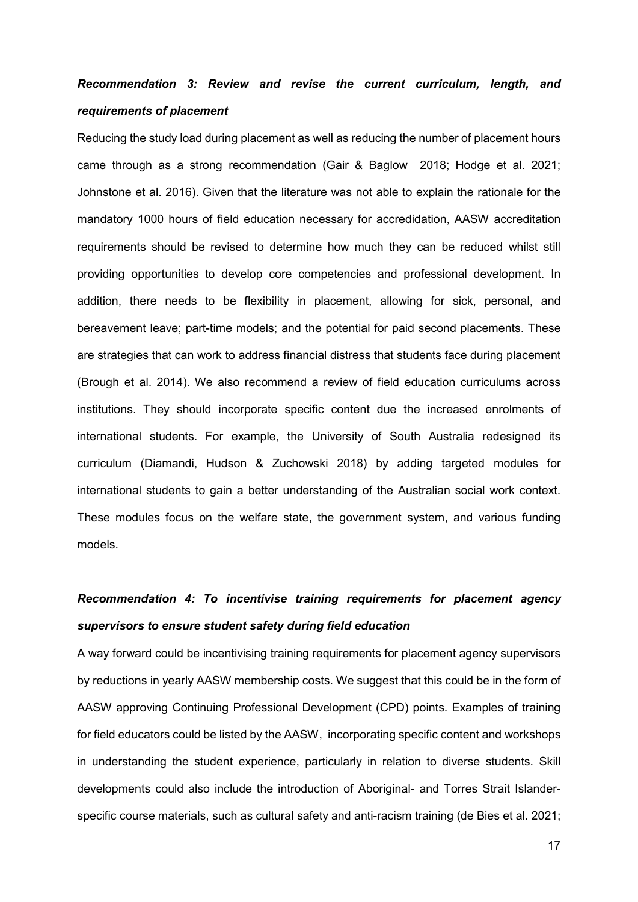## *Recommendation 3: Review and revise the current curriculum, length, and requirements of placement*

Reducing the study load during placement as well as reducing the number of placement hours came through as a strong recommendation (Gair & Baglow 2018; Hodge et al. 2021; Johnstone et al. 2016). Given that the literature was not able to explain the rationale for the mandatory 1000 hours of field education necessary for accredidation, AASW accreditation requirements should be revised to determine how much they can be reduced whilst still providing opportunities to develop core competencies and professional development. In addition, there needs to be flexibility in placement, allowing for sick, personal, and bereavement leave; part-time models; and the potential for paid second placements. These are strategies that can work to address financial distress that students face during placement (Brough et al. 2014). We also recommend a review of field education curriculums across institutions. They should incorporate specific content due the increased enrolments of international students. For example, the University of South Australia redesigned its curriculum (Diamandi, Hudson & Zuchowski 2018) by adding targeted modules for international students to gain a better understanding of the Australian social work context. These modules focus on the welfare state, the government system, and various funding models.

## *Recommendation 4: To incentivise training requirements for placement agency supervisors to ensure student safety during field education*

A way forward could be incentivising training requirements for placement agency supervisors by reductions in yearly AASW membership costs. We suggest that this could be in the form of AASW approving Continuing Professional Development (CPD) points. Examples of training for field educators could be listed by the AASW, incorporating specific content and workshops in understanding the student experience, particularly in relation to diverse students. Skill developments could also include the introduction of Aboriginal- and Torres Strait Islanderspecific course materials, such as cultural safety and anti-racism training (de Bies et al. 2021;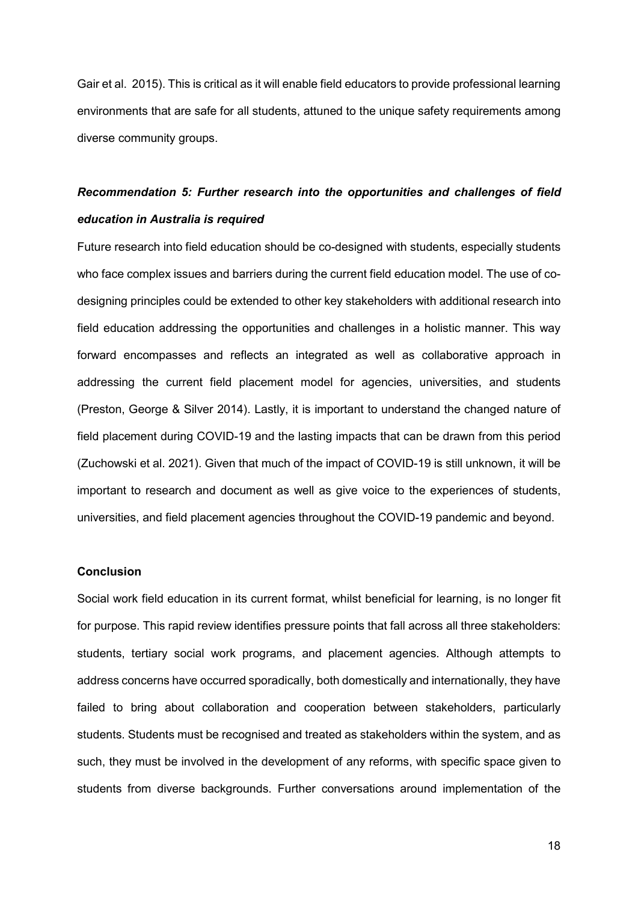Gair et al. 2015). This is critical as it will enable field educators to provide professional learning environments that are safe for all students, attuned to the unique safety requirements among diverse community groups.

## *Recommendation 5: Further research into the opportunities and challenges of field education in Australia is required*

Future research into field education should be co-designed with students, especially students who face complex issues and barriers during the current field education model. The use of codesigning principles could be extended to other key stakeholders with additional research into field education addressing the opportunities and challenges in a holistic manner. This way forward encompasses and reflects an integrated as well as collaborative approach in addressing the current field placement model for agencies, universities, and students (Preston, George & Silver 2014). Lastly, it is important to understand the changed nature of field placement during COVID-19 and the lasting impacts that can be drawn from this period (Zuchowski et al. 2021). Given that much of the impact of COVID-19 is still unknown, it will be important to research and document as well as give voice to the experiences of students, universities, and field placement agencies throughout the COVID-19 pandemic and beyond.

#### **Conclusion**

Social work field education in its current format, whilst beneficial for learning, is no longer fit for purpose. This rapid review identifies pressure points that fall across all three stakeholders: students, tertiary social work programs, and placement agencies. Although attempts to address concerns have occurred sporadically, both domestically and internationally, they have failed to bring about collaboration and cooperation between stakeholders, particularly students. Students must be recognised and treated as stakeholders within the system, and as such, they must be involved in the development of any reforms, with specific space given to students from diverse backgrounds. Further conversations around implementation of the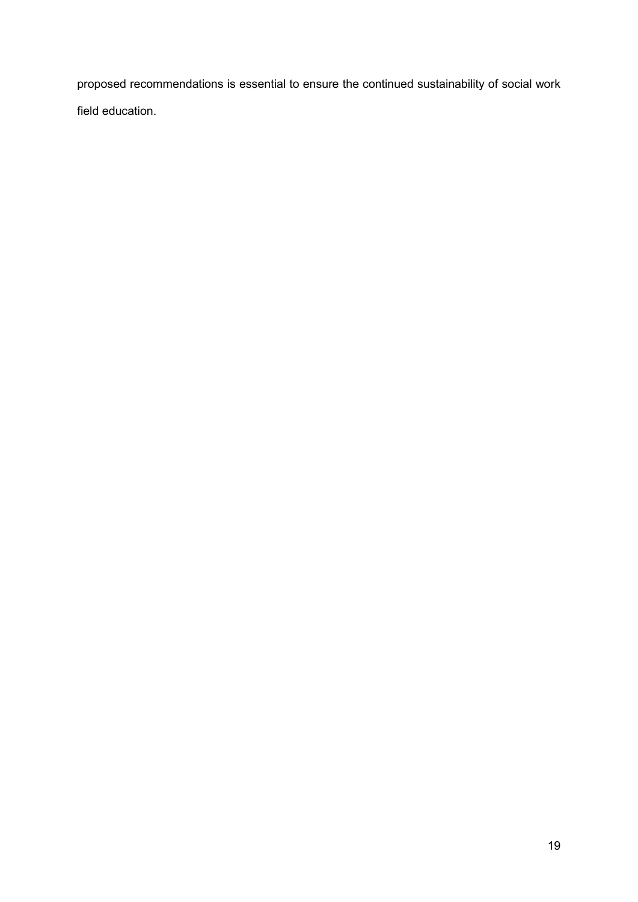<span id="page-20-0"></span>proposed recommendations is essential to ensure the continued sustainability of social work field education.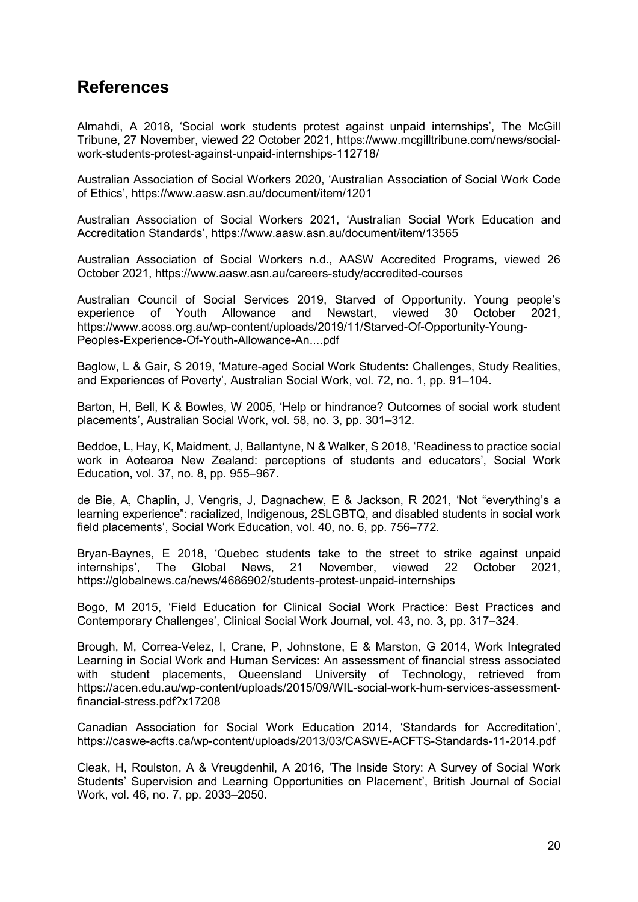## **References**

[Almahdi,](https://www.mcgilltribune.com/?s=Abeer+Almahdi&authorSearch=1) [A](https://www.mcgilltribune.com/?s=Abeer+Almahdi&authorSearch=1) 2018, 'Social work students protest against unpaid internships', [The McGill](https://www.mcgilltribune.com/)  [Tribune,](https://www.mcgilltribune.com/) 27 November, viewed 22 October 2021, [https://www.mcgilltribune.com/news/social](https://www.mcgilltribune.com/news/social-work-students-protest-against-unpaid-internships-112718/)[work-students-protest-against-unpaid-internships-112718/](https://www.mcgilltribune.com/news/social-work-students-protest-against-unpaid-internships-112718/)

Australian Association of Social Workers 2020, 'Australian Association of Social Work Code of Ethics',<https://www.aasw.asn.au/document/item/1201>

Australian Association of Social Workers 2021, 'Australian Social Work Education and Accreditation Standards',<https://www.aasw.asn.au/document/item/13565>

Australian Association of Social Workers n.d., AASW Accredited Programs, viewed 26 October 2021,<https://www.aasw.asn.au/careers-study/accredited-courses>

Australian Council of Social Services 2019, Starved of Opportunity. Young people's experience of Youth Allowance and Newstart, viewed 30 October 2021, experience of Youth Allowance and Newstart, viewed 30 October 2021, [https://www.acoss.org.au/wp-content/uploads/2019/11/Starved-Of-Opportunity-Young-](https://www.acoss.org.au/wp-content/uploads/2019/11/Starved-Of-Opportunity-Young-Peoples-Experience-Of-Youth-Allowance-An....pdf)[Peoples-Experience-Of-Youth-Allowance-An....pdf](https://www.acoss.org.au/wp-content/uploads/2019/11/Starved-Of-Opportunity-Young-Peoples-Experience-Of-Youth-Allowance-An....pdf)

Baglow, L & Gair, S 2019, 'Mature-aged Social Work Students: Challenges, Study Realities, and Experiences of Poverty', Australian Social Work, vol. 72, no. 1, pp. 91–104.

Barton, H, Bell, K & Bowles, W 2005, 'Help or hindrance? Outcomes of social work student placements', Australian Social Work, vol. 58, no. 3, pp. 301–312.

Beddoe, L, Hay, K, Maidment, J, Ballantyne, N & Walker, S 2018, 'Readiness to practice social work in Aotearoa New Zealand: perceptions of students and educators', Social Work Education, vol. 37, no. 8, pp. 955–967.

de Bie, A, Chaplin, J, Vengris, J, Dagnachew, E & Jackson, R 2021, 'Not "everything's a learning experience": racialized, Indigenous, 2SLGBTQ, and disabled students in social work field placements', Social Work Education, vol. 40, no. 6, pp. 756–772.

[Bryan-Baynes,](https://globalnews.ca/author/elysia-bryan-baynes/) [E](https://globalnews.ca/author/elysia-bryan-baynes/) 2018, 'Quebec students take to the street to strike against unpaid internships', The Global News, 21 November, viewed 22 October 2021, <https://globalnews.ca/news/4686902/students-protest-unpaid-internships>

Bogo, M 2015, 'Field Education for Clinical Social Work Practice: Best Practices and Contemporary Challenges', Clinical Social Work Journal, vol. 43, no. 3, pp. 317–324.

Brough, M, Correa-Velez, I, Crane, P, Johnstone, E & Marston, G 2014, Work Integrated Learning in Social Work and Human Services: An assessment of financial stress associated with student placements, Queensland University of Technology, retrieved from [https://acen.edu.au/wp-content/uploads/2015/09/WIL-social-work-hum-services-assessment](https://acen.edu.au/wp-content/uploads/2015/09/WIL-social-work-hum-services-assessment-financial-stress.pdf?x17208)[financial-stress.pdf?x17208](https://acen.edu.au/wp-content/uploads/2015/09/WIL-social-work-hum-services-assessment-financial-stress.pdf?x17208)

Canadian Association for Social Work Education 2014, 'Standards for Accreditation', <https://caswe-acfts.ca/wp-content/uploads/2013/03/CASWE-ACFTS-Standards-11-2014.pdf>

Cleak, H, Roulston, A & Vreugdenhil, A 2016, 'The Inside Story: A Survey of Social Work Students' Supervision and Learning Opportunities on Placement', British Journal of Social Work, vol. 46, no. 7, pp. 2033–2050.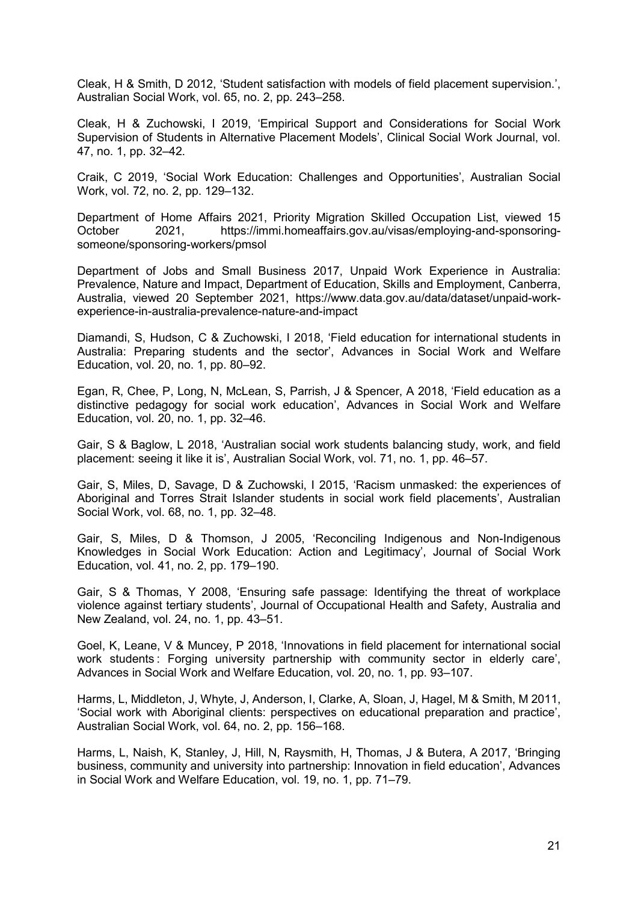Cleak, H & Smith, D 2012, 'Student satisfaction with models of field placement supervision.', Australian Social Work, vol. 65, no. 2, pp. 243–258.

Cleak, H & Zuchowski, I 2019, 'Empirical Support and Considerations for Social Work Supervision of Students in Alternative Placement Models', Clinical Social Work Journal, vol. 47, no. 1, pp. 32–42.

Craik, C 2019, 'Social Work Education: Challenges and Opportunities', Australian Social Work, vol. 72, no. 2, pp. 129–132.

Department of Home Affairs 2021, Priority Migration Skilled Occupation List, viewed 15 October 2021, [https://immi.homeaffairs.gov.au/visas/employing-and-sponsoring](https://immi.homeaffairs.gov.au/visas/employing-and-sponsoring-someone/sponsoring-workers/pmsol)[someone/sponsoring-workers/pmsol](https://immi.homeaffairs.gov.au/visas/employing-and-sponsoring-someone/sponsoring-workers/pmsol)

Department of Jobs and Small Business 2017, Unpaid Work Experience in Australia: Prevalence, Nature and Impact, Department of Education, Skills and Employment, Canberra, Australia, viewed 20 September 2021, [https://www.data.gov.au/data/dataset/unpaid-work](https://www.data.gov.au/data/dataset/unpaid-work-experience-in-australia-prevalence-nature-and-impact)[experience-in-australia-prevalence-nature-and-impact](https://www.data.gov.au/data/dataset/unpaid-work-experience-in-australia-prevalence-nature-and-impact)

Diamandi, S, Hudson, C & Zuchowski, I 2018, 'Field education for international students in Australia: Preparing students and the sector', Advances in Social Work and Welfare Education, vol. 20, no. 1, pp. 80–92.

Egan, R, Chee, P, Long, N, McLean, S, Parrish, J & Spencer, A 2018, 'Field education as a distinctive pedagogy for social work education', Advances in Social Work and Welfare Education, vol. 20, no. 1, pp. 32–46.

Gair, S & Baglow, L 2018, 'Australian social work students balancing study, work, and field placement: seeing it like it is', Australian Social Work, vol. 71, no. 1, pp. 46–57.

Gair, S, Miles, D, Savage, D & Zuchowski, I 2015, 'Racism unmasked: the experiences of Aboriginal and Torres Strait Islander students in social work field placements', Australian Social Work, vol. 68, no. 1, pp. 32–48.

Gair, S, Miles, D & Thomson, J 2005, 'Reconciling Indigenous and Non-Indigenous Knowledges in Social Work Education: Action and Legitimacy', Journal of Social Work Education, vol. 41, no. 2, pp. 179–190.

Gair, S & Thomas, Y 2008, 'Ensuring safe passage: Identifying the threat of workplace violence against tertiary students', Journal of Occupational Health and Safety, Australia and New Zealand, vol. 24, no. 1, pp. 43–51.

Goel, K, Leane, V & Muncey, P 2018, 'Innovations in field placement for international social work students : Forging university partnership with community sector in elderly care', Advances in Social Work and Welfare Education, vol. 20, no. 1, pp. 93–107.

Harms, L, Middleton, J, Whyte, J, Anderson, I, Clarke, A, Sloan, J, Hagel, M & Smith, M 2011, 'Social work with Aboriginal clients: perspectives on educational preparation and practice', Australian Social Work, vol. 64, no. 2, pp. 156–168.

Harms, L, Naish, K, Stanley, J, Hill, N, Raysmith, H, Thomas, J & Butera, A 2017, 'Bringing business, community and university into partnership: Innovation in field education', Advances in Social Work and Welfare Education, vol. 19, no. 1, pp. 71–79.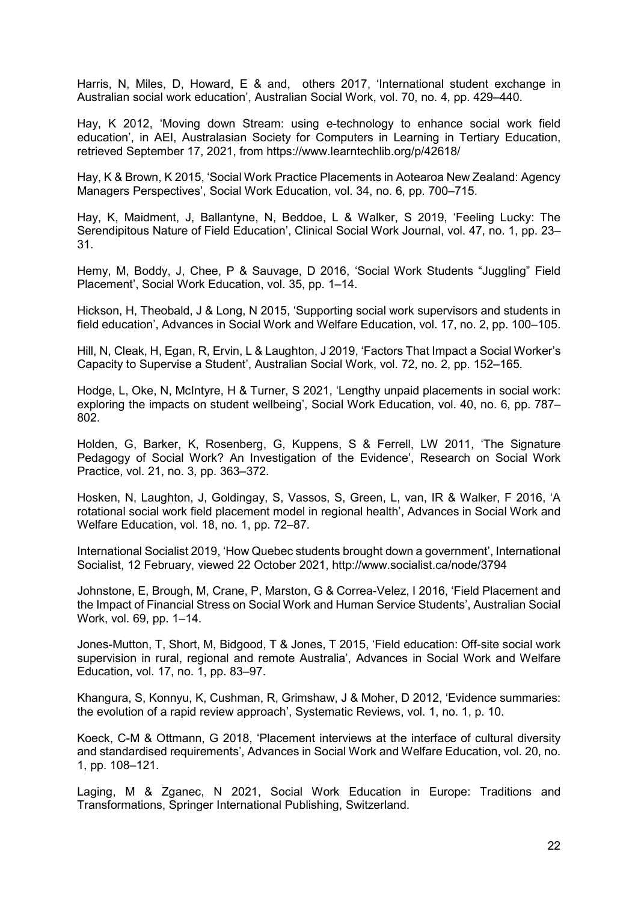Harris, N, Miles, D, Howard, E & and, others 2017, 'International student exchange in Australian social work education', Australian Social Work, vol. 70, no. 4, pp. 429–440.

Hay, K 2012, 'Moving down Stream: using e-technology to enhance social work field education', in AEI, Australasian Society for Computers in Learning in Tertiary Education, retrieved September 17, 2021, from<https://www.learntechlib.org/p/42618/>

Hay, K & Brown, K 2015, 'Social Work Practice Placements in Aotearoa New Zealand: Agency Managers Perspectives', Social Work Education, vol. 34, no. 6, pp. 700–715.

Hay, K, Maidment, J, Ballantyne, N, Beddoe, L & Walker, S 2019, 'Feeling Lucky: The Serendipitous Nature of Field Education', Clinical Social Work Journal, vol. 47, no. 1, pp. 23– 31.

Hemy, M, Boddy, J, Chee, P & Sauvage, D 2016, 'Social Work Students "Juggling" Field Placement', Social Work Education, vol. 35, pp. 1–14.

Hickson, H, Theobald, J & Long, N 2015, 'Supporting social work supervisors and students in field education', Advances in Social Work and Welfare Education, vol. 17, no. 2, pp. 100–105.

Hill, N, Cleak, H, Egan, R, Ervin, L & Laughton, J 2019, 'Factors That Impact a Social Worker's Capacity to Supervise a Student', Australian Social Work, vol. 72, no. 2, pp. 152–165.

Hodge, L, Oke, N, McIntyre, H & Turner, S 2021, 'Lengthy unpaid placements in social work: exploring the impacts on student wellbeing', Social Work Education, vol. 40, no. 6, pp. 787– 802.

Holden, G, Barker, K, Rosenberg, G, Kuppens, S & Ferrell, LW 2011, 'The Signature Pedagogy of Social Work? An Investigation of the Evidence', Research on Social Work Practice, vol. 21, no. 3, pp. 363–372.

Hosken, N, Laughton, J, Goldingay, S, Vassos, S, Green, L, van, IR & Walker, F 2016, 'A rotational social work field placement model in regional health', Advances in Social Work and Welfare Education, vol. 18, no. 1, pp. 72–87.

International Socialist 2019, 'How Quebec students brought down a government', International Socialist, 12 February, viewed 22 October 2021,<http://www.socialist.ca/node/3794>

Johnstone, E, Brough, M, Crane, P, Marston, G & Correa-Velez, I 2016, 'Field Placement and the Impact of Financial Stress on Social Work and Human Service Students', Australian Social Work, vol. 69, pp. 1–14.

Jones-Mutton, T, Short, M, Bidgood, T & Jones, T 2015, 'Field education: Off-site social work supervision in rural, regional and remote Australia', Advances in Social Work and Welfare Education, vol. 17, no. 1, pp. 83–97.

Khangura, S, Konnyu, K, Cushman, R, Grimshaw, J & Moher, D 2012, 'Evidence summaries: the evolution of a rapid review approach', Systematic Reviews, vol. 1, no. 1, p. 10.

Koeck, C-M & Ottmann, G 2018, 'Placement interviews at the interface of cultural diversity and standardised requirements', Advances in Social Work and Welfare Education, vol. 20, no. 1, pp. 108–121.

Laging, M & Zganec, N 2021, Social Work Education in Europe: Traditions and Transformations, Springer International Publishing, Switzerland.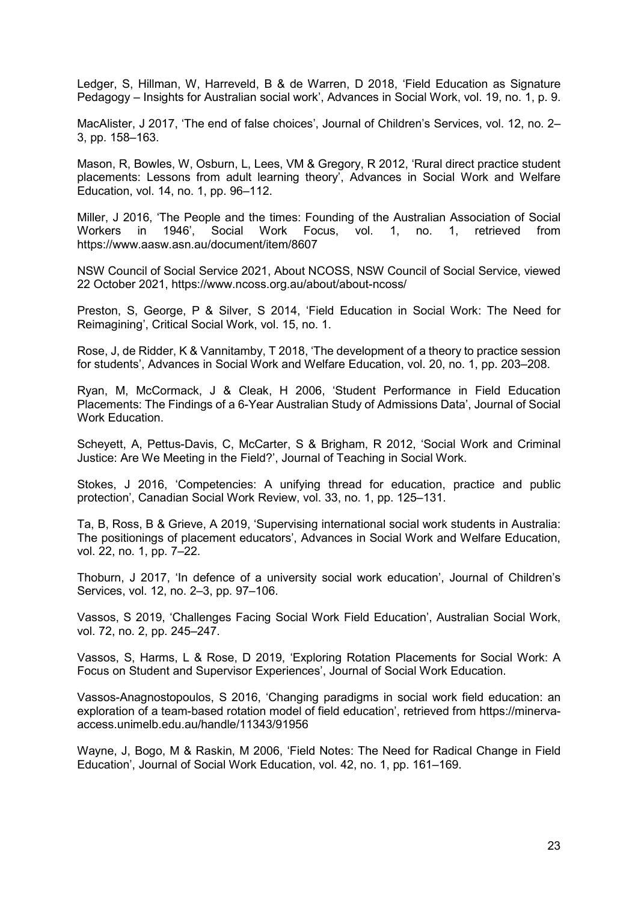Ledger, S, Hillman, W, Harreveld, B & de Warren, D 2018, 'Field Education as Signature Pedagogy – Insights for Australian social work', Advances in Social Work, vol. 19, no. 1, p. 9.

MacAlister, J 2017, 'The end of false choices', Journal of Children's Services, vol. 12, no. 2– 3, pp. 158–163.

Mason, R, Bowles, W, Osburn, L, Lees, VM & Gregory, R 2012, 'Rural direct practice student placements: Lessons from adult learning theory', Advances in Social Work and Welfare Education, vol. 14, no. 1, pp. 96–112.

Miller, J 2016, 'The People and the times: Founding of the Australian Association of Social Workers in 1946', Social Work Focus, vol. 1, no. 1, retrieved from <https://www.aasw.asn.au/document/item/8607>

NSW Council of Social Service 2021, About NCOSS, NSW Council of Social Service, viewed 22 October 2021,<https://www.ncoss.org.au/about/about-ncoss/>

Preston, S, George, P & Silver, S 2014, 'Field Education in Social Work: The Need for Reimagining', Critical Social Work, vol. 15, no. 1.

Rose, J, de Ridder, K & Vannitamby, T 2018, 'The development of a theory to practice session for students', Advances in Social Work and Welfare Education, vol. 20, no. 1, pp. 203–208.

Ryan, M, McCormack, J & Cleak, H 2006, 'Student Performance in Field Education Placements: The Findings of a 6-Year Australian Study of Admissions Data', Journal of Social Work Education.

Scheyett, A, Pettus-Davis, C, McCarter, S & Brigham, R 2012, 'Social Work and Criminal Justice: Are We Meeting in the Field?', Journal of Teaching in Social Work.

Stokes, J 2016, 'Competencies: A unifying thread for education, practice and public protection', Canadian Social Work Review, vol. 33, no. 1, pp. 125–131.

Ta, B, Ross, B & Grieve, A 2019, 'Supervising international social work students in Australia: The positionings of placement educators', Advances in Social Work and Welfare Education, vol. 22, no. 1, pp. 7–22.

Thoburn, J 2017, 'In defence of a university social work education', Journal of Children's Services, vol. 12, no. 2–3, pp. 97–106.

Vassos, S 2019, 'Challenges Facing Social Work Field Education', Australian Social Work, vol. 72, no. 2, pp. 245–247.

Vassos, S, Harms, L & Rose, D 2019, 'Exploring Rotation Placements for Social Work: A Focus on Student and Supervisor Experiences', Journal of Social Work Education.

Vassos-Anagnostopoulos, S 2016, 'Changing paradigms in social work field education: an exploration of a team-based rotation model of field education', retrieved from [https://minerva](https://minerva-access.unimelb.edu.au/handle/11343/91956)[access.unimelb.edu.au/handle/11343/91956](https://minerva-access.unimelb.edu.au/handle/11343/91956)

Wayne, J, Bogo, M & Raskin, M 2006, 'Field Notes: The Need for Radical Change in Field Education', Journal of Social Work Education, vol. 42, no. 1, pp. 161–169.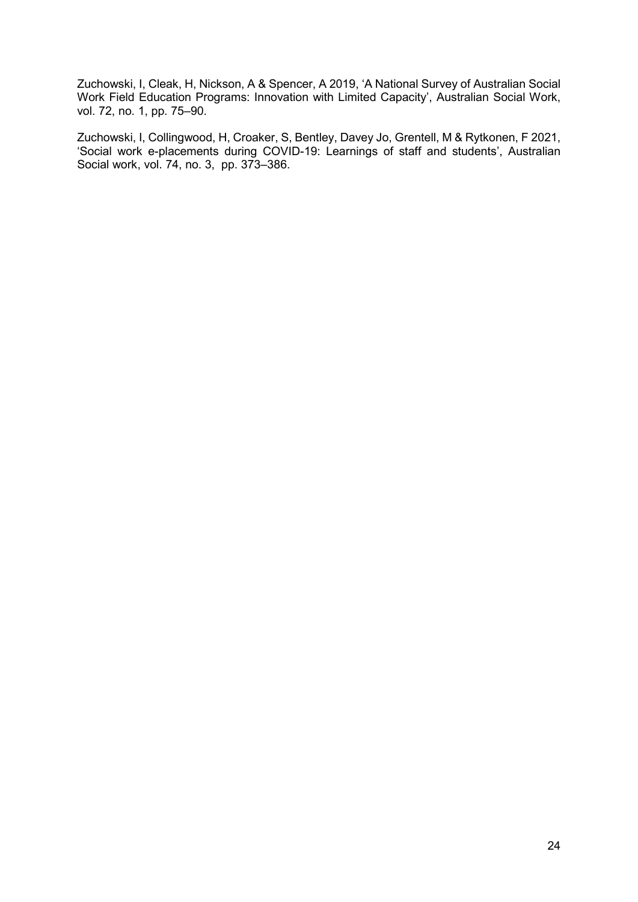Zuchowski, I, Cleak, H, Nickson, A & Spencer, A 2019, 'A National Survey of Australian Social Work Field Education Programs: Innovation with Limited Capacity', Australian Social Work, vol. 72, no. 1, pp. 75–90.

Zuchowski, I, Collingwood, H, Croaker, S, Bentley, Davey Jo, Grentell, M & Rytkonen, F 2021, 'Social work e-placements during COVID-19: Learnings of staff and students', Australian Social work, vol. 74, no. 3, pp. 373–386.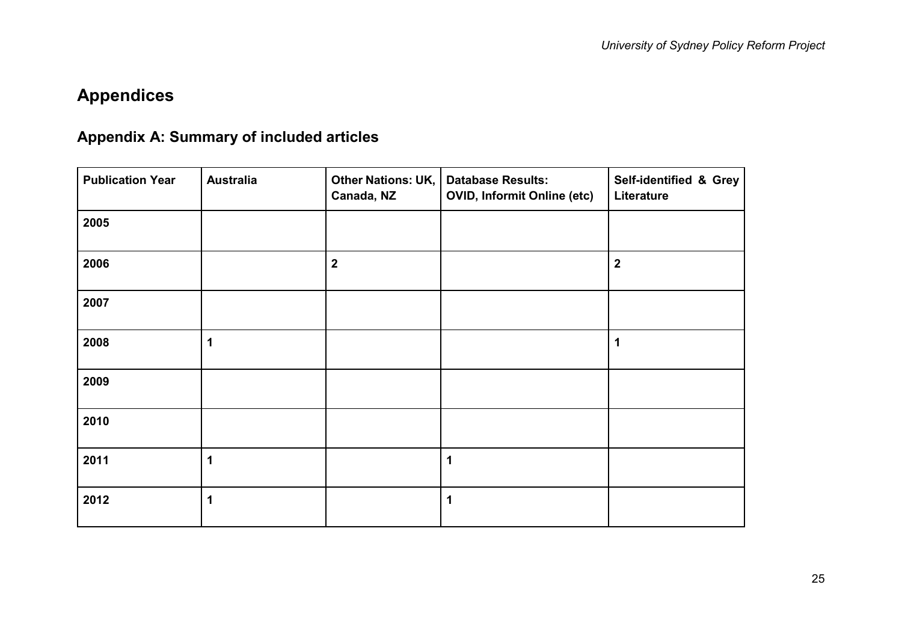# **Appendices**

## **Appendix A: Summary of included articles**

<span id="page-26-1"></span><span id="page-26-0"></span>

| <b>Publication Year</b> | <b>Australia</b> | Other Nations: UK,<br>Canada, NZ | <b>Database Results:</b><br><b>OVID, Informit Online (etc)</b> | Self-identified & Grey<br>Literature |
|-------------------------|------------------|----------------------------------|----------------------------------------------------------------|--------------------------------------|
| 2005                    |                  |                                  |                                                                |                                      |
| 2006                    |                  | $\overline{2}$                   |                                                                | $\boldsymbol{2}$                     |
| 2007                    |                  |                                  |                                                                |                                      |
| 2008                    | 1                |                                  |                                                                | 1                                    |
| 2009                    |                  |                                  |                                                                |                                      |
| 2010                    |                  |                                  |                                                                |                                      |
| 2011                    | 1                |                                  |                                                                |                                      |
| 2012                    | 1                |                                  | 1                                                              |                                      |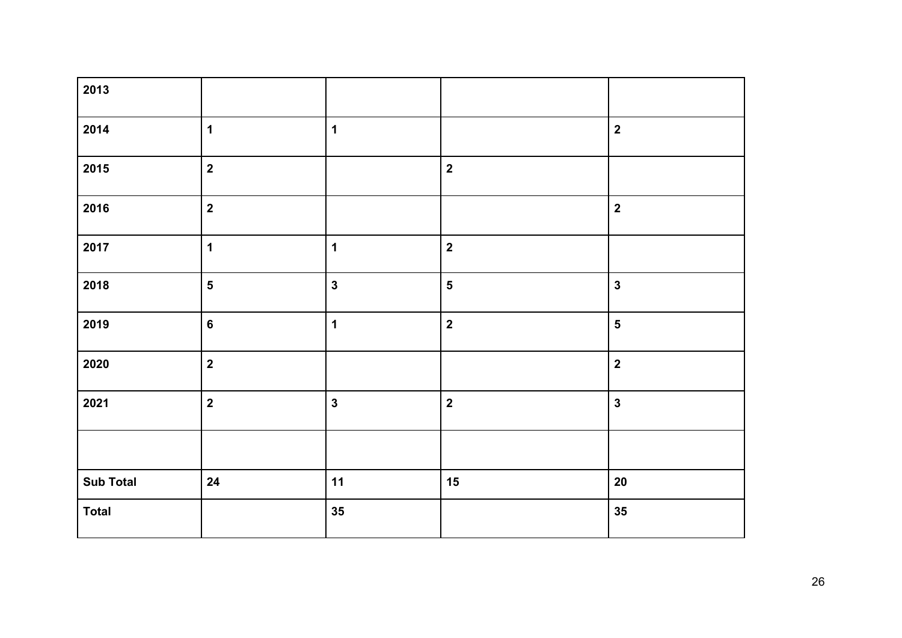| 2013             |                         |                         |                         |                         |
|------------------|-------------------------|-------------------------|-------------------------|-------------------------|
| 2014             | $\overline{1}$          | $\mathbf{1}$            |                         | $\overline{\mathbf{2}}$ |
| 2015             | $\overline{\mathbf{2}}$ |                         | $\mathbf{2}$            |                         |
| 2016             | $\overline{2}$          |                         |                         | $\overline{\mathbf{2}}$ |
| 2017             | $\mathbf 1$             | $\mathbf{1}$            | $\overline{\mathbf{2}}$ |                         |
| 2018             | $\overline{\mathbf{5}}$ | $\overline{\mathbf{3}}$ | $\overline{\mathbf{5}}$ | $\mathbf{3}$            |
| 2019             | $6\phantom{a}$          | $\mathbf{1}$            | $\overline{2}$          | $\overline{\mathbf{5}}$ |
| 2020             | $\overline{\mathbf{2}}$ |                         |                         | $\overline{\mathbf{2}}$ |
| 2021             | $\overline{\mathbf{2}}$ | $\overline{\mathbf{3}}$ | $\overline{\mathbf{2}}$ | $\overline{\mathbf{3}}$ |
|                  |                         |                         |                         |                         |
| <b>Sub Total</b> | 24                      | 11                      | 15                      | 20                      |
| <b>Total</b>     |                         | 35                      |                         | 35                      |